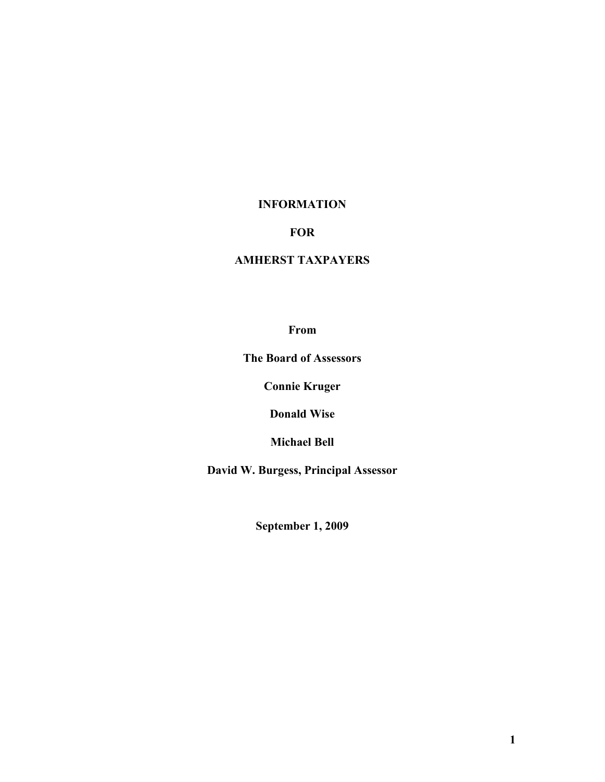## **INFORMATION**

## **FOR**

# **AMHERST TAXPAYERS**

## **From**

**The Board of Assessors** 

**Connie Kruger** 

**Donald Wise** 

**Michael Bell** 

**David W. Burgess, Principal Assessor** 

**September 1, 2009**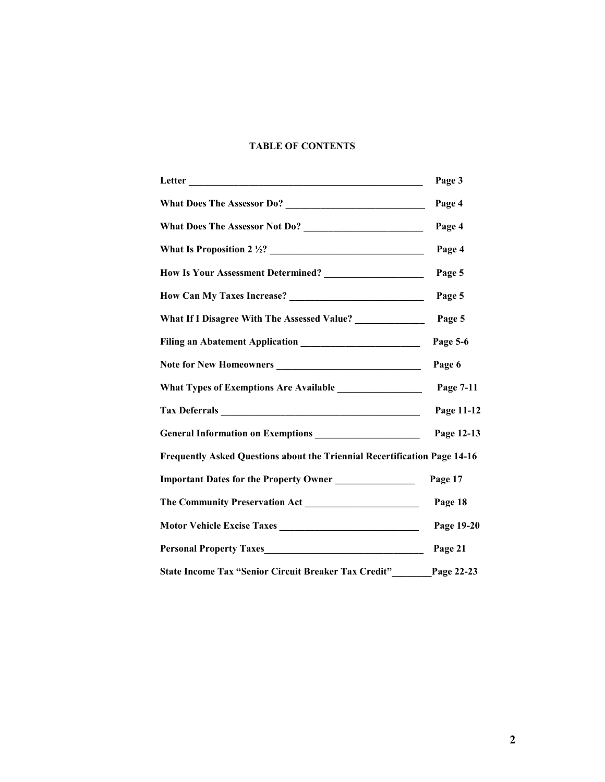## **TABLE OF CONTENTS**

|                                                                           | Page 3     |
|---------------------------------------------------------------------------|------------|
|                                                                           | Page 4     |
|                                                                           | Page 4     |
| What Is Proposition 2 $\frac{1}{2}$ 2.2.                                  | Page 4     |
|                                                                           | Page 5     |
|                                                                           | Page 5     |
| What If I Disagree With The Assessed Value? ______________                | Page 5     |
|                                                                           | Page 5-6   |
|                                                                           | Page 6     |
|                                                                           |            |
|                                                                           | Page 11-12 |
|                                                                           | Page 12-13 |
| Frequently Asked Questions about the Triennial Recertification Page 14-16 |            |
| Important Dates for the Property Owner                                    | Page 17    |
|                                                                           | Page 18    |
|                                                                           | Page 19-20 |
|                                                                           | Page 21    |
| State Income Tax "Senior Circuit Breaker Tax Credit" Page 22-23           |            |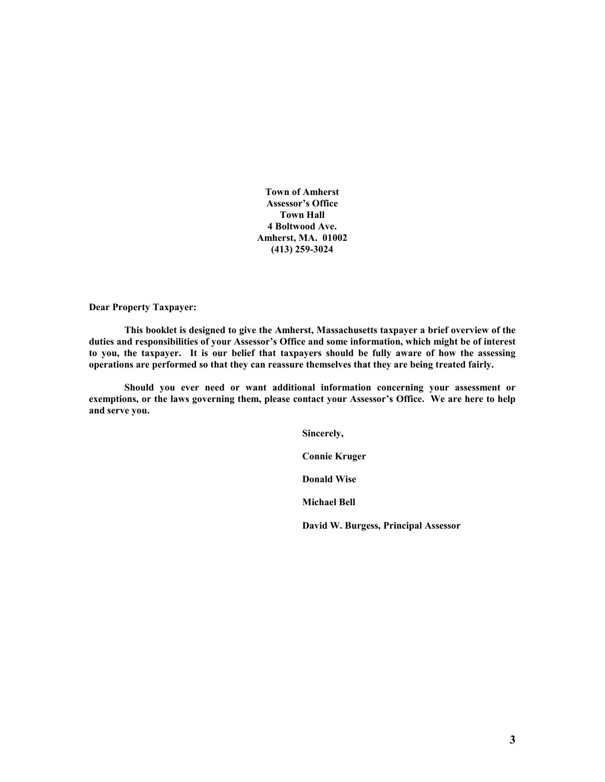**Town of Amherst Assessor's Office Town Hall 4 Boltwood Ave. Amherst, MA. 01002 (413) 259-3024** 

**Dear Property Taxpayer:** 

 **This booklet is designed to give the Amherst, Massachusetts taxpayer a brief overview of the duties and responsibilities of your Assessor's Office and some information, which might be of interest to you, the taxpayer. It is our belief that taxpayers should be fully aware of how the assessing operations are performed so that they can reassure themselves that they are being treated fairly.** 

 **Should you ever need or want additional information concerning your assessment or exemptions, or the laws governing them, please contact your Assessor's Office. We are here to help and serve you.** 

> **Sincerely, Connie Kruger Donald Wise Michael Bell David W. Burgess, Principal Assessor**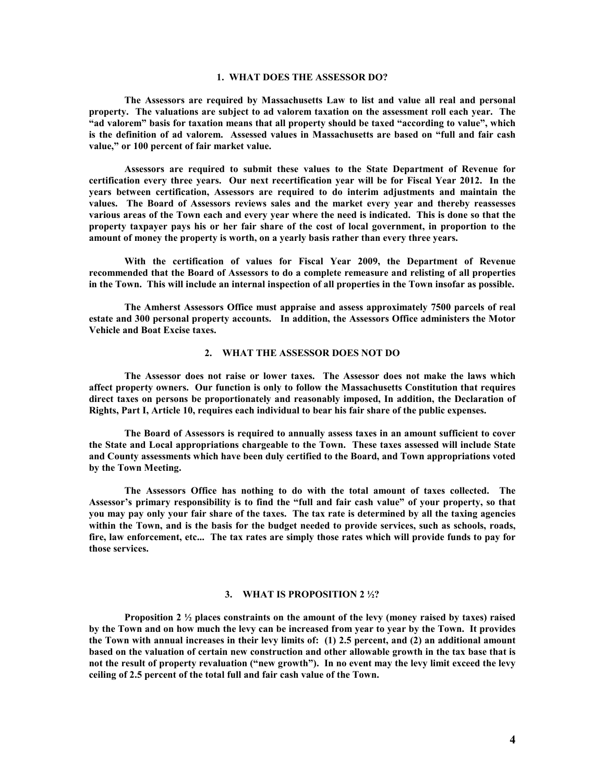### **1. WHAT DOES THE ASSESSOR DO?**

 **The Assessors are required by Massachusetts Law to list and value all real and personal property. The valuations are subject to ad valorem taxation on the assessment roll each year. The "ad valorem" basis for taxation means that all property should be taxed "according to value", which is the definition of ad valorem. Assessed values in Massachusetts are based on "full and fair cash value," or 100 percent of fair market value.** 

 **Assessors are required to submit these values to the State Department of Revenue for certification every three years. Our next recertification year will be for Fiscal Year 2012. In the years between certification, Assessors are required to do interim adjustments and maintain the values. The Board of Assessors reviews sales and the market every year and thereby reassesses various areas of the Town each and every year where the need is indicated. This is done so that the property taxpayer pays his or her fair share of the cost of local government, in proportion to the amount of money the property is worth, on a yearly basis rather than every three years.** 

 **With the certification of values for Fiscal Year 2009, the Department of Revenue recommended that the Board of Assessors to do a complete remeasure and relisting of all properties in the Town. This will include an internal inspection of all properties in the Town insofar as possible.** 

 **The Amherst Assessors Office must appraise and assess approximately 7500 parcels of real estate and 300 personal property accounts. In addition, the Assessors Office administers the Motor Vehicle and Boat Excise taxes.** 

## **2. WHAT THE ASSESSOR DOES NOT DO**

 **The Assessor does not raise or lower taxes. The Assessor does not make the laws which affect property owners. Our function is only to follow the Massachusetts Constitution that requires direct taxes on persons be proportionately and reasonably imposed, In addition, the Declaration of Rights, Part I, Article 10, requires each individual to bear his fair share of the public expenses.** 

 **The Board of Assessors is required to annually assess taxes in an amount sufficient to cover the State and Local appropriations chargeable to the Town. These taxes assessed will include State and County assessments which have been duly certified to the Board, and Town appropriations voted by the Town Meeting.** 

 **The Assessors Office has nothing to do with the total amount of taxes collected. The Assessor's primary responsibility is to find the "full and fair cash value" of your property, so that you may pay only your fair share of the taxes. The tax rate is determined by all the taxing agencies within the Town, and is the basis for the budget needed to provide services, such as schools, roads, fire, law enforcement, etc... The tax rates are simply those rates which will provide funds to pay for those services.** 

#### **3. WHAT IS PROPOSITION 2 ½?**

 **Proposition 2 ½ places constraints on the amount of the levy (money raised by taxes) raised by the Town and on how much the levy can be increased from year to year by the Town. It provides the Town with annual increases in their levy limits of: (1) 2.5 percent, and (2) an additional amount based on the valuation of certain new construction and other allowable growth in the tax base that is not the result of property revaluation ("new growth"). In no event may the levy limit exceed the levy ceiling of 2.5 percent of the total full and fair cash value of the Town.**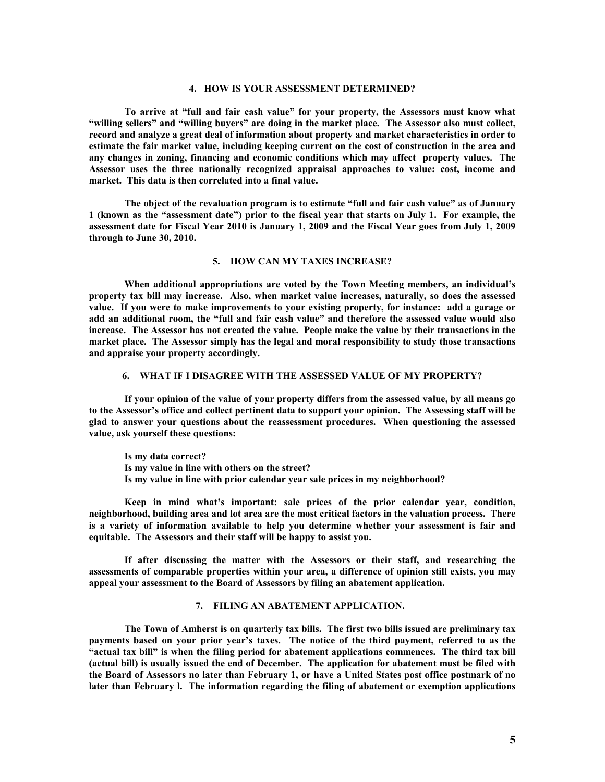## **4. HOW IS YOUR ASSESSMENT DETERMINED?**

 **To arrive at "full and fair cash value" for your property, the Assessors must know what "willing sellers" and "willing buyers" are doing in the market place. The Assessor also must collect, record and analyze a great deal of information about property and market characteristics in order to estimate the fair market value, including keeping current on the cost of construction in the area and any changes in zoning, financing and economic conditions which may affect property values. The Assessor uses the three nationally recognized appraisal approaches to value: cost, income and market. This data is then correlated into a final value.** 

 **The object of the revaluation program is to estimate "full and fair cash value" as of January 1 (known as the "assessment date") prior to the fiscal year that starts on July 1. For example, the assessment date for Fiscal Year 2010 is January 1, 2009 and the Fiscal Year goes from July 1, 2009 through to June 30, 2010.** 

### **5. HOW CAN MY TAXES INCREASE?**

 **When additional appropriations are voted by the Town Meeting members, an individual's property tax bill may increase. Also, when market value increases, naturally, so does the assessed value. If you were to make improvements to your existing property, for instance: add a garage or add an additional room, the "full and fair cash value" and therefore the assessed value would also increase. The Assessor has not created the value. People make the value by their transactions in the market place. The Assessor simply has the legal and moral responsibility to study those transactions and appraise your property accordingly.** 

### **6. WHAT IF I DISAGREE WITH THE ASSESSED VALUE OF MY PROPERTY?**

 **If your opinion of the value of your property differs from the assessed value, by all means go to the Assessor's office and collect pertinent data to support your opinion. The Assessing staff will be glad to answer your questions about the reassessment procedures. When questioning the assessed value, ask yourself these questions:** 

**Is my data correct? Is my value in line with others on the street? Is my value in line with prior calendar year sale prices in my neighborhood?** 

 **Keep in mind what's important: sale prices of the prior calendar year, condition, neighborhood, building area and lot area are the most critical factors in the valuation process. There is a variety of information available to help you determine whether your assessment is fair and equitable. The Assessors and their staff will be happy to assist you.** 

 **If after discussing the matter with the Assessors or their staff, and researching the assessments of comparable properties within your area, a difference of opinion still exists, you may appeal your assessment to the Board of Assessors by filing an abatement application.** 

## **7. FILING AN ABATEMENT APPLICATION.**

 **The Town of Amherst is on quarterly tax bills. The first two bills issued are preliminary tax payments based on your prior year's taxes. The notice of the third payment, referred to as the "actual tax bill" is when the filing period for abatement applications commences. The third tax bill (actual bill) is usually issued the end of December. The application for abatement must be filed with the Board of Assessors no later than February 1, or have a United States post office postmark of no later than February l. The information regarding the filing of abatement or exemption applications**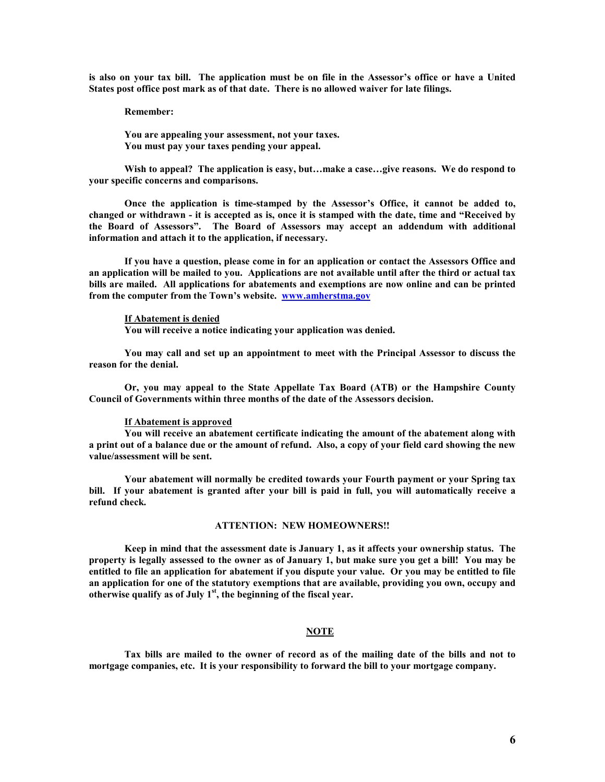**is also on your tax bill. The application must be on file in the Assessor's office or have a United States post office post mark as of that date. There is no allowed waiver for late filings.** 

 **Remember:** 

 **You are appealing your assessment, not your taxes. You must pay your taxes pending your appeal.** 

**Wish to appeal? The application is easy, but…make a case…give reasons. We do respond to your specific concerns and comparisons.** 

 **Once the application is time-stamped by the Assessor's Office, it cannot be added to, changed or withdrawn - it is accepted as is, once it is stamped with the date, time and "Received by the Board of Assessors". The Board of Assessors may accept an addendum with additional information and attach it to the application, if necessary.** 

 **If you have a question, please come in for an application or contact the Assessors Office and an application will be mailed to you. Applications are not available until after the third or actual tax bills are mailed. All applications for abatements and exemptions are now online and can be printed from the computer from the Town's website. www.amherstma.gov** 

#### **If Abatement is denied**

**You will receive a notice indicating your application was denied.** 

 **You may call and set up an appointment to meet with the Principal Assessor to discuss the reason for the denial.** 

 **Or, you may appeal to the State Appellate Tax Board (ATB) or the Hampshire County Council of Governments within three months of the date of the Assessors decision.** 

### **If Abatement is approved**

**You will receive an abatement certificate indicating the amount of the abatement along with a print out of a balance due or the amount of refund. Also, a copy of your field card showing the new value/assessment will be sent.** 

 **Your abatement will normally be credited towards your Fourth payment or your Spring tax bill. If your abatement is granted after your bill is paid in full, you will automatically receive a refund check.** 

#### **ATTENTION: NEW HOMEOWNERS!!**

 **Keep in mind that the assessment date is January 1, as it affects your ownership status. The property is legally assessed to the owner as of January 1, but make sure you get a bill! You may be entitled to file an application for abatement if you dispute your value. Or you may be entitled to file an application for one of the statutory exemptions that are available, providing you own, occupy and otherwise qualify as of July 1st, the beginning of the fiscal year.** 

### **NOTE**

**Tax bills are mailed to the owner of record as of the mailing date of the bills and not to mortgage companies, etc. It is your responsibility to forward the bill to your mortgage company.**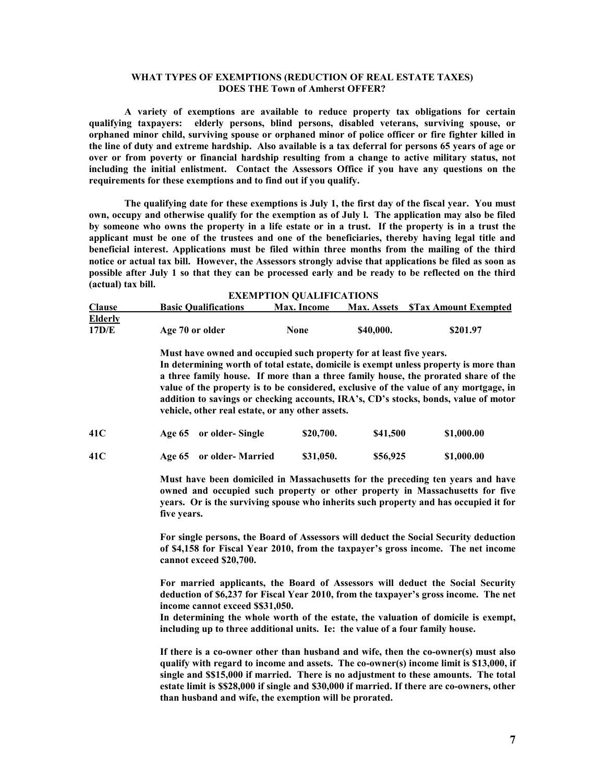## **WHAT TYPES OF EXEMPTIONS (REDUCTION OF REAL ESTATE TAXES) DOES THE Town of Amherst OFFER?**

 **A variety of exemptions are available to reduce property tax obligations for certain qualifying taxpayers: elderly persons, blind persons, disabled veterans, surviving spouse, or orphaned minor child, surviving spouse or orphaned minor of police officer or fire fighter killed in the line of duty and extreme hardship. Also available is a tax deferral for persons 65 years of age or over or from poverty or financial hardship resulting from a change to active military status, not including the initial enlistment. Contact the Assessors Office if you have any questions on the requirements for these exemptions and to find out if you qualify.** 

 **The qualifying date for these exemptions is July 1, the first day of the fiscal year. You must own, occupy and otherwise qualify for the exemption as of July l. The application may also be filed by someone who owns the property in a life estate or in a trust. If the property is in a trust the applicant must be one of the trustees and one of the beneficiaries, thereby having legal title and beneficial interest. Applications must be filed within three months from the mailing of the third notice or actual tax bill. However, the Assessors strongly advise that applications be filed as soon as possible after July 1 so that they can be processed early and be ready to be reflected on the third (actual) tax bill.** 

| <b>Clause</b>    | <b>Basic Qualifications</b>                                                                                             | <b>Max.</b> Income | <b>Max. Assets</b> | <b>STax Amount Exempted</b>                                                                                                                                                                                                                                                                                                                                 |
|------------------|-------------------------------------------------------------------------------------------------------------------------|--------------------|--------------------|-------------------------------------------------------------------------------------------------------------------------------------------------------------------------------------------------------------------------------------------------------------------------------------------------------------------------------------------------------------|
| Elderly<br>17D/E | Age 70 or older                                                                                                         | None               | \$40,000.          | \$201.97                                                                                                                                                                                                                                                                                                                                                    |
|                  | Must have owned and occupied such property for at least five years.<br>vehicle, other real estate, or any other assets. |                    |                    | In determining worth of total estate, domicile is exempt unless property is more than<br>a three family house. If more than a three family house, the prorated share of the<br>value of the property is to be considered, exclusive of the value of any mortgage, in<br>addition to savings or checking accounts, IRA's, CD's stocks, bonds, value of motor |
| 41C              | or older-Single<br><b>Age 65</b>                                                                                        | \$20,700.          | \$41,500           | \$1,000.00                                                                                                                                                                                                                                                                                                                                                  |

**41C Age 65 or older- Married \$31,050. \$56,925 \$1,000.00** 

**Must have been domiciled in Massachusetts for the preceding ten years and have owned and occupied such property or other property in Massachusetts for five years. Or is the surviving spouse who inherits such property and has occupied it for five years.** 

**For single persons, the Board of Assessors will deduct the Social Security deduction of \$4,158 for Fiscal Year 2010, from the taxpayer's gross income. The net income cannot exceed \$20,700.** 

**For married applicants, the Board of Assessors will deduct the Social Security deduction of \$6,237 for Fiscal Year 2010, from the taxpayer's gross income. The net income cannot exceed \$\$31,050.** 

**In determining the whole worth of the estate, the valuation of domicile is exempt, including up to three additional units. Ie: the value of a four family house.** 

**If there is a co-owner other than husband and wife, then the co-owner(s) must also qualify with regard to income and assets. The co-owner(s) income limit is \$13,000, if single and \$\$15,000 if married. There is no adjustment to these amounts. The total estate limit is \$\$28,000 if single and \$30,000 if married. If there are co-owners, other than husband and wife, the exemption will be prorated.**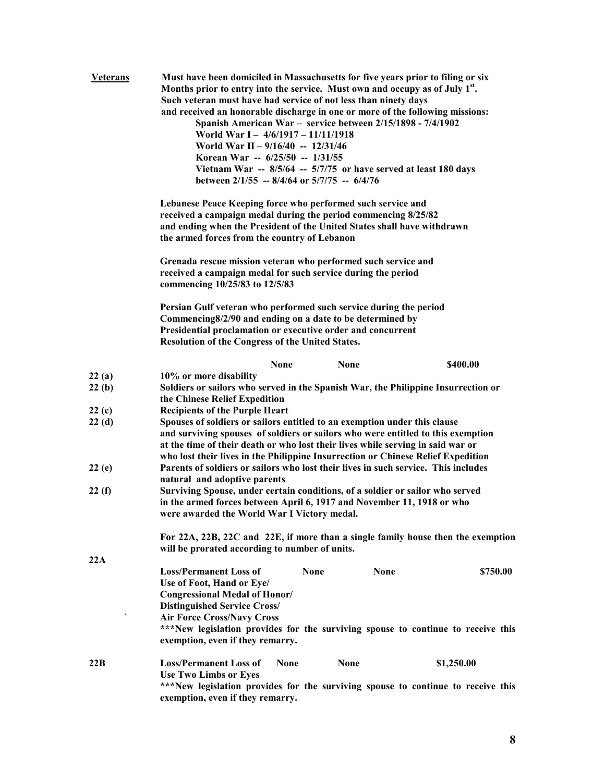| <b>Veterans</b> | Must have been domiciled in Massachusetts for five years prior to filing or six<br>Months prior to entry into the service. Must own and occupy as of July 1 <sup>st</sup> .<br>Such veteran must have had service of not less than ninety days<br>and received an honorable discharge in one or more of the following missions:<br>Spanish American War - service between 2/15/1898 - 7/4/1902<br>World War I - 4/6/1917 - 11/11/1918<br>World War II - $9/16/40$ -- 12/31/46<br>Korean War -- 6/25/50 -- 1/31/55<br>Vietnam War $-$ 8/5/64 $-$ 5/7/75 or have served at least 180 days<br>between $2/1/55$ -- 8/4/64 or $5/7/75$ -- 6/4/76 |  |  |
|-----------------|---------------------------------------------------------------------------------------------------------------------------------------------------------------------------------------------------------------------------------------------------------------------------------------------------------------------------------------------------------------------------------------------------------------------------------------------------------------------------------------------------------------------------------------------------------------------------------------------------------------------------------------------|--|--|
|                 | Lebanese Peace Keeping force who performed such service and<br>received a campaign medal during the period commencing 8/25/82<br>and ending when the President of the United States shall have withdrawn<br>the armed forces from the country of Lebanon                                                                                                                                                                                                                                                                                                                                                                                    |  |  |
|                 | Grenada rescue mission veteran who performed such service and<br>received a campaign medal for such service during the period<br>commencing 10/25/83 to 12/5/83                                                                                                                                                                                                                                                                                                                                                                                                                                                                             |  |  |
|                 | Persian Gulf veteran who performed such service during the period<br>Commencing8/2/90 and ending on a date to be determined by<br>Presidential proclamation or executive order and concurrent<br>Resolution of the Congress of the United States.                                                                                                                                                                                                                                                                                                                                                                                           |  |  |
|                 | <b>None</b><br><b>None</b><br>\$400.00                                                                                                                                                                                                                                                                                                                                                                                                                                                                                                                                                                                                      |  |  |
| 22(a)<br>22(b)  | 10% or more disability<br>Soldiers or sailors who served in the Spanish War, the Philippine Insurrection or<br>the Chinese Relief Expedition                                                                                                                                                                                                                                                                                                                                                                                                                                                                                                |  |  |
| 22(c)           | <b>Recipients of the Purple Heart</b>                                                                                                                                                                                                                                                                                                                                                                                                                                                                                                                                                                                                       |  |  |
| 22(d)           | Spouses of soldiers or sailors entitled to an exemption under this clause<br>and surviving spouses of soldiers or sailors who were entitled to this exemption<br>at the time of their death or who lost their lives while serving in said war or<br>who lost their lives in the Philippine Insurrection or Chinese Relief Expedition                                                                                                                                                                                                                                                                                                        |  |  |
| 22(e)           | Parents of soldiers or sailors who lost their lives in such service. This includes<br>natural and adoptive parents                                                                                                                                                                                                                                                                                                                                                                                                                                                                                                                          |  |  |
| 22(f)           | Surviving Spouse, under certain conditions, of a soldier or sailor who served<br>in the armed forces between April 6, 1917 and November 11, 1918 or who<br>were awarded the World War I Victory medal.                                                                                                                                                                                                                                                                                                                                                                                                                                      |  |  |
|                 | For 22A, 22B, 22C and 22E, if more than a single family house then the exemption<br>will be prorated according to number of units.                                                                                                                                                                                                                                                                                                                                                                                                                                                                                                          |  |  |
| 22A             | <b>Loss/Permanent Loss of</b><br><b>None</b><br><b>None</b><br>\$750.00<br>Use of Foot, Hand or Eye/<br><b>Congressional Medal of Honor/</b><br><b>Distinguished Service Cross/</b><br><b>Air Force Cross/Navy Cross</b><br>***New legislation provides for the surviving spouse to continue to receive this<br>exemption, even if they remarry.                                                                                                                                                                                                                                                                                            |  |  |
| 22B             | <b>Loss/Permanent Loss of</b><br><b>None</b><br>\$1,250.00<br>None<br><b>Use Two Limbs or Eyes</b><br>***New legislation provides for the surviving spouse to continue to receive this<br>exemption, even if they remarry.                                                                                                                                                                                                                                                                                                                                                                                                                  |  |  |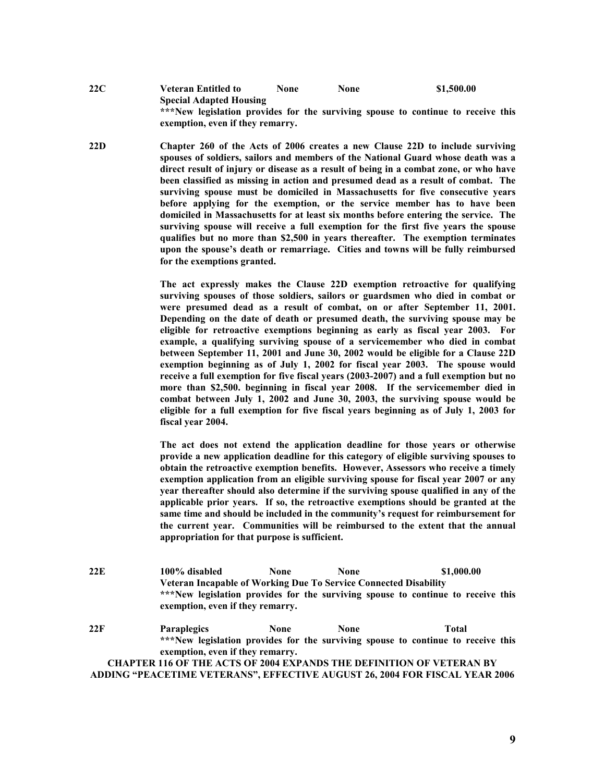**22C Veteran Entitled to None None \$1,500.00 Special Adapted Housing \*\*\*New legislation provides for the surviving spouse to continue to receive this exemption, even if they remarry.** 

**22D Chapter 260 of the Acts of 2006 creates a new Clause 22D to include surviving spouses of soldiers, sailors and members of the National Guard whose death was a direct result of injury or disease as a result of being in a combat zone, or who have been classified as missing in action and presumed dead as a result of combat. The surviving spouse must be domiciled in Massachusetts for five consecutive years before applying for the exemption, or the service member has to have been domiciled in Massachusetts for at least six months before entering the service. The surviving spouse will receive a full exemption for the first five years the spouse qualifies but no more than \$2,500 in years thereafter. The exemption terminates upon the spouse's death or remarriage. Cities and towns will be fully reimbursed for the exemptions granted.** 

> **The act expressly makes the Clause 22D exemption retroactive for qualifying surviving spouses of those soldiers, sailors or guardsmen who died in combat or were presumed dead as a result of combat, on or after September 11, 2001. Depending on the date of death or presumed death, the surviving spouse may be eligible for retroactive exemptions beginning as early as fiscal year 2003. For example, a qualifying surviving spouse of a servicemember who died in combat between September 11, 2001 and June 30, 2002 would be eligible for a Clause 22D exemption beginning as of July 1, 2002 for fiscal year 2003. The spouse would receive a full exemption for five fiscal years (2003-2007) and a full exemption but no more than \$2,500. beginning in fiscal year 2008. If the servicemember died in combat between July 1, 2002 and June 30, 2003, the surviving spouse would be eligible for a full exemption for five fiscal years beginning as of July 1, 2003 for fiscal year 2004.**

> **The act does not extend the application deadline for those years or otherwise provide a new application deadline for this category of eligible surviving spouses to obtain the retroactive exemption benefits. However, Assessors who receive a timely exemption application from an eligible surviving spouse for fiscal year 2007 or any year thereafter should also determine if the surviving spouse qualified in any of the applicable prior years. If so, the retroactive exemptions should be granted at the same time and should be included in the community's request for reimbursement for the current year. Communities will be reimbursed to the extent that the annual appropriation for that purpose is sufficient.**

**22E 100% disabled None None \$1,000.00 Veteran Incapable of Working Due To Service Connected Disability \*\*\*New legislation provides for the surviving spouse to continue to receive this exemption, even if they remarry.** 

**22F Paraplegics None None Total \*\*\*New legislation provides for the surviving spouse to continue to receive this exemption, even if they remarry. CHAPTER 116 OF THE ACTS OF 2004 EXPANDS THE DEFINITION OF VETERAN BY** 

**ADDING "PEACETIME VETERANS", EFFECTIVE AUGUST 26, 2004 FOR FISCAL YEAR 2006**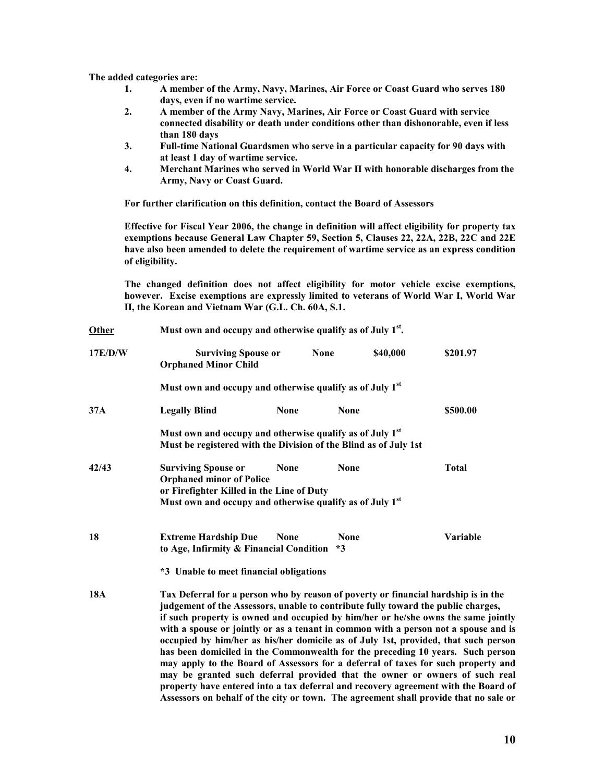**The added categories are:** 

- **1. A member of the Army, Navy, Marines, Air Force or Coast Guard who serves 180 days, even if no wartime service.**
- **2. A member of the Army Navy, Marines, Air Force or Coast Guard with service connected disability or death under conditions other than dishonorable, even if less than 180 days**
- **3. Full-time National Guardsmen who serve in a particular capacity for 90 days with at least 1 day of wartime service.**
- **4. Merchant Marines who served in World War II with honorable discharges from the Army, Navy or Coast Guard.**

**For further clarification on this definition, contact the Board of Assessors** 

**Effective for Fiscal Year 2006, the change in definition will affect eligibility for property tax exemptions because General Law Chapter 59, Section 5, Clauses 22, 22A, 22B, 22C and 22E have also been amended to delete the requirement of wartime service as an express condition of eligibility.** 

**The changed definition does not affect eligibility for motor vehicle excise exemptions, however. Excise exemptions are expressly limited to veterans of World War I, World War II, the Korean and Vietnam War (G.L. Ch. 60A, S.1.** 

| Other      | Must own and occupy and otherwise qualify as of July 1 <sup>st</sup> .                                                                                                                                                                                                                                                                                                                                                                                                                                                                                                                                                                                                                                                                                                                                                                                                        |             |                     |          |              |
|------------|-------------------------------------------------------------------------------------------------------------------------------------------------------------------------------------------------------------------------------------------------------------------------------------------------------------------------------------------------------------------------------------------------------------------------------------------------------------------------------------------------------------------------------------------------------------------------------------------------------------------------------------------------------------------------------------------------------------------------------------------------------------------------------------------------------------------------------------------------------------------------------|-------------|---------------------|----------|--------------|
| 17E/D/W    | <b>Surviving Spouse or</b><br><b>Orphaned Minor Child</b>                                                                                                                                                                                                                                                                                                                                                                                                                                                                                                                                                                                                                                                                                                                                                                                                                     |             | <b>None</b>         | \$40,000 | \$201.97     |
|            | Must own and occupy and otherwise qualify as of July 1 <sup>st</sup>                                                                                                                                                                                                                                                                                                                                                                                                                                                                                                                                                                                                                                                                                                                                                                                                          |             |                     |          |              |
| 37A        | <b>Legally Blind</b>                                                                                                                                                                                                                                                                                                                                                                                                                                                                                                                                                                                                                                                                                                                                                                                                                                                          | <b>None</b> | <b>None</b>         |          | \$500.00     |
|            | Must own and occupy and otherwise qualify as of July 1 <sup>st</sup><br>Must be registered with the Division of the Blind as of July 1st                                                                                                                                                                                                                                                                                                                                                                                                                                                                                                                                                                                                                                                                                                                                      |             |                     |          |              |
| 42/43      | <b>Surviving Spouse or</b><br><b>Orphaned minor of Police</b><br>or Firefighter Killed in the Line of Duty<br>Must own and occupy and otherwise qualify as of July 1 <sup>st</sup>                                                                                                                                                                                                                                                                                                                                                                                                                                                                                                                                                                                                                                                                                            | <b>None</b> | <b>None</b>         |          | <b>Total</b> |
| 18         | <b>Extreme Hardship Due</b><br>to Age, Infirmity & Financial Condition                                                                                                                                                                                                                                                                                                                                                                                                                                                                                                                                                                                                                                                                                                                                                                                                        | <b>None</b> | <b>None</b><br>$*3$ |          | Variable     |
|            | *3 Unable to meet financial obligations                                                                                                                                                                                                                                                                                                                                                                                                                                                                                                                                                                                                                                                                                                                                                                                                                                       |             |                     |          |              |
| <b>18A</b> | Tax Deferral for a person who by reason of poverty or financial hardship is in the<br>judgement of the Assessors, unable to contribute fully toward the public charges,<br>if such property is owned and occupied by him/her or he/she owns the same jointly<br>with a spouse or jointly or as a tenant in common with a person not a spouse and is<br>occupied by him/her as his/her domicile as of July 1st, provided, that such person<br>has been domiciled in the Commonwealth for the preceding 10 years. Such person<br>may apply to the Board of Assessors for a deferral of taxes for such property and<br>may be granted such deferral provided that the owner or owners of such real<br>property have entered into a tax deferral and recovery agreement with the Board of<br>Assessors on behalf of the city or town. The agreement shall provide that no sale or |             |                     |          |              |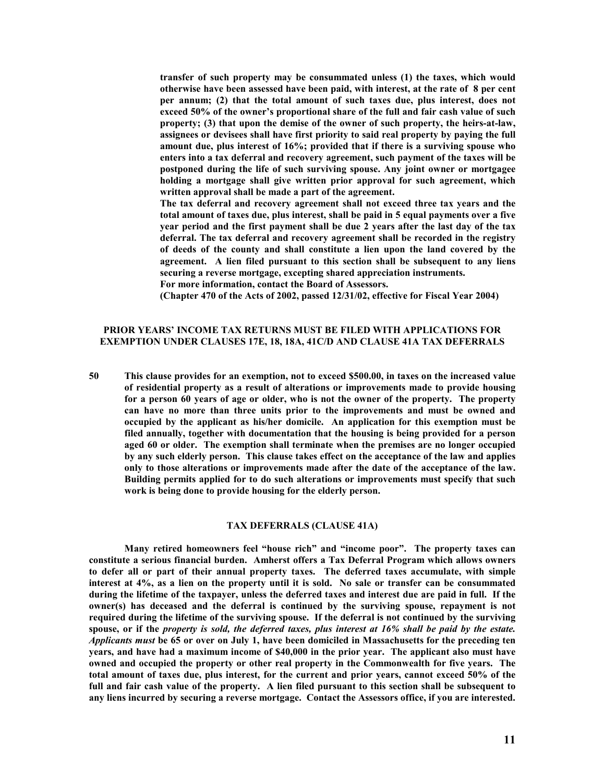**transfer of such property may be consummated unless (1) the taxes, which would otherwise have been assessed have been paid, with interest, at the rate of 8 per cent per annum; (2) that the total amount of such taxes due, plus interest, does not exceed 50% of the owner's proportional share of the full and fair cash value of such property; (3) that upon the demise of the owner of such property, the heirs-at-law, assignees or devisees shall have first priority to said real property by paying the full amount due, plus interest of 16%; provided that if there is a surviving spouse who enters into a tax deferral and recovery agreement, such payment of the taxes will be postponed during the life of such surviving spouse. Any joint owner or mortgagee holding a mortgage shall give written prior approval for such agreement, which written approval shall be made a part of the agreement.** 

**The tax deferral and recovery agreement shall not exceed three tax years and the total amount of taxes due, plus interest, shall be paid in 5 equal payments over a five year period and the first payment shall be due 2 years after the last day of the tax deferral. The tax deferral and recovery agreement shall be recorded in the registry of deeds of the county and shall constitute a lien upon the land covered by the agreement. A lien filed pursuant to this section shall be subsequent to any liens securing a reverse mortgage, excepting shared appreciation instruments.** 

**For more information, contact the Board of Assessors.** 

**(Chapter 470 of the Acts of 2002, passed 12/31/02, effective for Fiscal Year 2004)** 

## **PRIOR YEARS' INCOME TAX RETURNS MUST BE FILED WITH APPLICATIONS FOR EXEMPTION UNDER CLAUSES 17E, 18, 18A, 41C/D AND CLAUSE 41A TAX DEFERRALS**

**50 This clause provides for an exemption, not to exceed \$500.00, in taxes on the increased value of residential property as a result of alterations or improvements made to provide housing for a person 60 years of age or older, who is not the owner of the property. The property can have no more than three units prior to the improvements and must be owned and occupied by the applicant as his/her domicile. An application for this exemption must be filed annually, together with documentation that the housing is being provided for a person aged 60 or older. The exemption shall terminate when the premises are no longer occupied by any such elderly person. This clause takes effect on the acceptance of the law and applies only to those alterations or improvements made after the date of the acceptance of the law. Building permits applied for to do such alterations or improvements must specify that such work is being done to provide housing for the elderly person.** 

#### **TAX DEFERRALS (CLAUSE 41A)**

 **Many retired homeowners feel "house rich" and "income poor". The property taxes can constitute a serious financial burden. Amherst offers a Tax Deferral Program which allows owners to defer all or part of their annual property taxes. The deferred taxes accumulate, with simple interest at 4%, as a lien on the property until it is sold. No sale or transfer can be consummated during the lifetime of the taxpayer, unless the deferred taxes and interest due are paid in full. If the owner(s) has deceased and the deferral is continued by the surviving spouse, repayment is not required during the lifetime of the surviving spouse. If the deferral is not continued by the surviving spouse, or if the** *property is sold, the deferred taxes, plus interest at 16% shall be paid by the estate. Applicants must* **be 65 or over on July 1, have been domiciled in Massachusetts for the preceding ten years, and have had a maximum income of \$40,000 in the prior year. The applicant also must have owned and occupied the property or other real property in the Commonwealth for five years. The total amount of taxes due, plus interest, for the current and prior years, cannot exceed 50% of the full and fair cash value of the property. A lien filed pursuant to this section shall be subsequent to any liens incurred by securing a reverse mortgage. Contact the Assessors office, if you are interested.**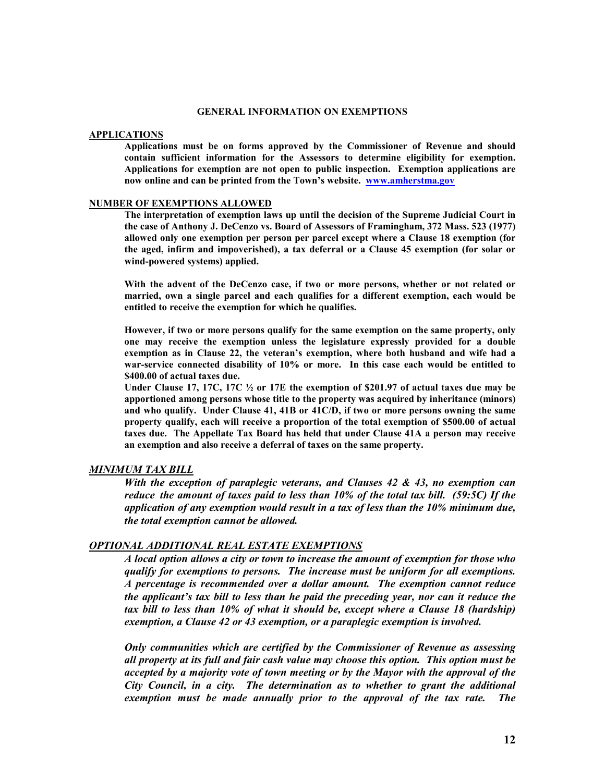### **GENERAL INFORMATION ON EXEMPTIONS**

#### **APPLICATIONS**

**Applications must be on forms approved by the Commissioner of Revenue and should contain sufficient information for the Assessors to determine eligibility for exemption. Applications for exemption are not open to public inspection. Exemption applications are now online and can be printed from the Town's website. www.amherstma.gov** 

#### **NUMBER OF EXEMPTIONS ALLOWED**

**The interpretation of exemption laws up until the decision of the Supreme Judicial Court in the case of Anthony J. DeCenzo vs. Board of Assessors of Framingham, 372 Mass. 523 (1977) allowed only one exemption per person per parcel except where a Clause 18 exemption (for the aged, infirm and impoverished), a tax deferral or a Clause 45 exemption (for solar or wind-powered systems) applied.** 

**With the advent of the DeCenzo case, if two or more persons, whether or not related or married, own a single parcel and each qualifies for a different exemption, each would be entitled to receive the exemption for which he qualifies.** 

**However, if two or more persons qualify for the same exemption on the same property, only one may receive the exemption unless the legislature expressly provided for a double exemption as in Clause 22, the veteran's exemption, where both husband and wife had a war-service connected disability of 10% or more. In this case each would be entitled to \$400.00 of actual taxes due.** 

**Under Clause 17, 17C, 17C ½ or 17E the exemption of \$201.97 of actual taxes due may be apportioned among persons whose title to the property was acquired by inheritance (minors) and who qualify. Under Clause 41, 41B or 41C/D, if two or more persons owning the same property qualify, each will receive a proportion of the total exemption of \$500.00 of actual taxes due. The Appellate Tax Board has held that under Clause 41A a person may receive an exemption and also receive a deferral of taxes on the same property.** 

## *MINIMUM TAX BILL*

*With the exception of paraplegic veterans, and Clauses 42 & 43, no exemption can reduce the amount of taxes paid to less than 10% of the total tax bill. (59:5C) If the application of any exemption would result in a tax of less than the 10% minimum due, the total exemption cannot be allowed.* 

## *OPTIONAL ADDITIONAL REAL ESTATE EXEMPTIONS*

*A local option allows a city or town to increase the amount of exemption for those who qualify for exemptions to persons. The increase must be uniform for all exemptions. A percentage is recommended over a dollar amount. The exemption cannot reduce the applicant's tax bill to less than he paid the preceding year, nor can it reduce the tax bill to less than 10% of what it should be, except where a Clause 18 (hardship) exemption, a Clause 42 or 43 exemption, or a paraplegic exemption is involved.* 

*Only communities which are certified by the Commissioner of Revenue as assessing all property at its full and fair cash value may choose this option. This option must be accepted by a majority vote of town meeting or by the Mayor with the approval of the City Council, in a city. The determination as to whether to grant the additional exemption must be made annually prior to the approval of the tax rate. The*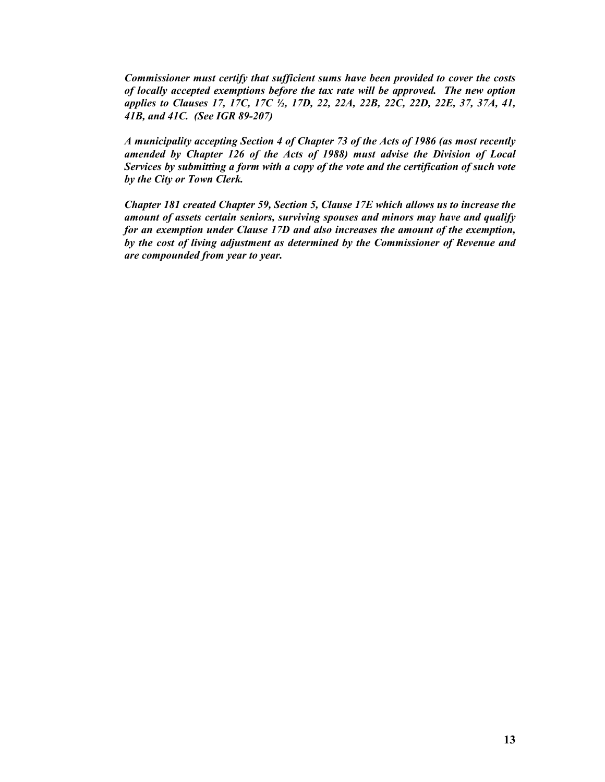*Commissioner must certify that sufficient sums have been provided to cover the costs of locally accepted exemptions before the tax rate will be approved. The new option applies to Clauses 17, 17C, 17C ½, 17D, 22, 22A, 22B, 22C, 22D, 22E, 37, 37A, 41, 41B, and 41C. (See IGR 89-207)* 

*A municipality accepting Section 4 of Chapter 73 of the Acts of 1986 (as most recently amended by Chapter 126 of the Acts of 1988) must advise the Division of Local Services by submitting a form with a copy of the vote and the certification of such vote by the City or Town Clerk.* 

*Chapter 181 created Chapter 59, Section 5, Clause 17E which allows us to increase the amount of assets certain seniors, surviving spouses and minors may have and qualify for an exemption under Clause 17D and also increases the amount of the exemption, by the cost of living adjustment as determined by the Commissioner of Revenue and are compounded from year to year.*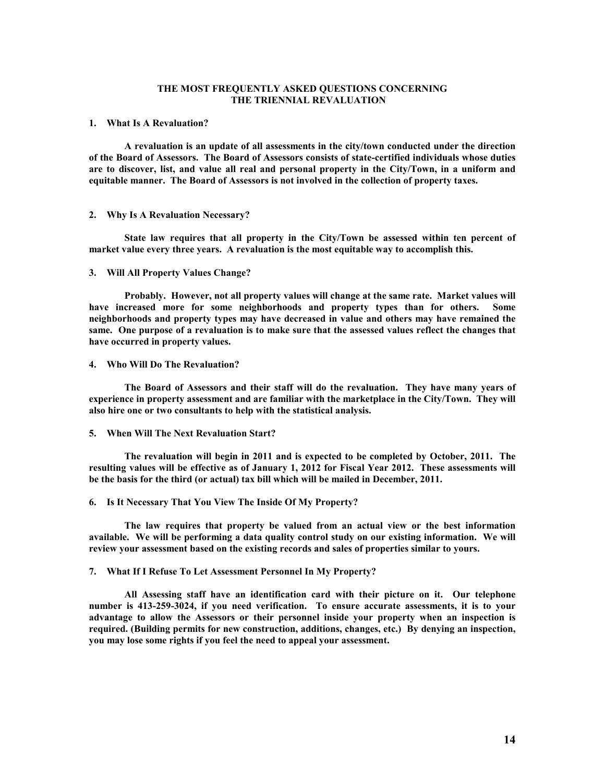## **THE MOST FREQUENTLY ASKED QUESTIONS CONCERNING THE TRIENNIAL REVALUATION**

#### **1. What Is A Revaluation?**

 **A revaluation is an update of all assessments in the city/town conducted under the direction of the Board of Assessors. The Board of Assessors consists of state-certified individuals whose duties are to discover, list, and value all real and personal property in the City/Town, in a uniform and equitable manner. The Board of Assessors is not involved in the collection of property taxes.** 

#### **2. Why Is A Revaluation Necessary?**

 **State law requires that all property in the City/Town be assessed within ten percent of market value every three years. A revaluation is the most equitable way to accomplish this.** 

## **3. Will All Property Values Change?**

 **Probably. However, not all property values will change at the same rate. Market values will have increased more for some neighborhoods and property types than for others. Some neighborhoods and property types may have decreased in value and others may have remained the same. One purpose of a revaluation is to make sure that the assessed values reflect the changes that have occurred in property values.** 

## **4. Who Will Do The Revaluation?**

 **The Board of Assessors and their staff will do the revaluation. They have many years of experience in property assessment and are familiar with the marketplace in the City/Town. They will also hire one or two consultants to help with the statistical analysis.** 

#### **5. When Will The Next Revaluation Start?**

 **The revaluation will begin in 2011 and is expected to be completed by October, 2011. The resulting values will be effective as of January 1, 2012 for Fiscal Year 2012. These assessments will be the basis for the third (or actual) tax bill which will be mailed in December, 2011.** 

#### **6. Is It Necessary That You View The Inside Of My Property?**

 **The law requires that property be valued from an actual view or the best information available. We will be performing a data quality control study on our existing information. We will review your assessment based on the existing records and sales of properties similar to yours.** 

## **7. What If I Refuse To Let Assessment Personnel In My Property?**

 **All Assessing staff have an identification card with their picture on it. Our telephone number is 413-259-3024, if you need verification. To ensure accurate assessments, it is to your advantage to allow the Assessors or their personnel inside your property when an inspection is required. (Building permits for new construction, additions, changes, etc.) By denying an inspection, you may lose some rights if you feel the need to appeal your assessment.**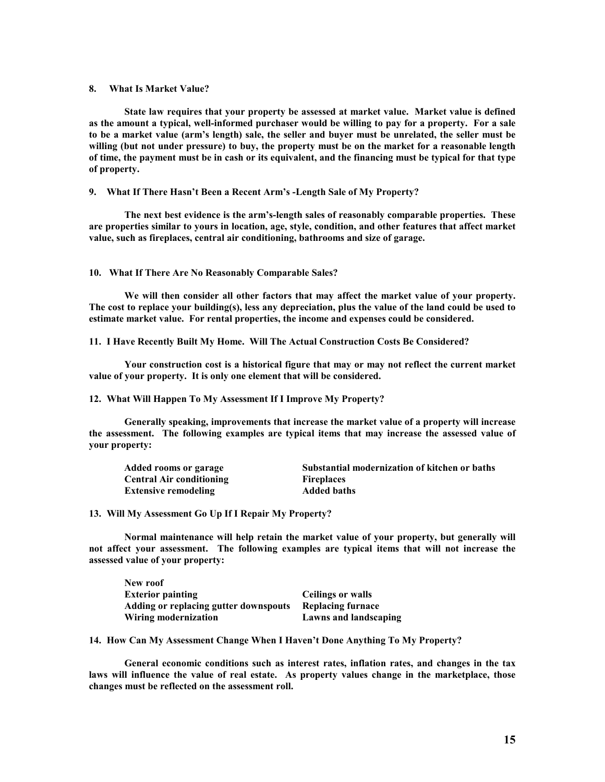#### **8. What Is Market Value?**

 **State law requires that your property be assessed at market value. Market value is defined as the amount a typical, well-informed purchaser would be willing to pay for a property. For a sale to be a market value (arm's length) sale, the seller and buyer must be unrelated, the seller must be willing (but not under pressure) to buy, the property must be on the market for a reasonable length of time, the payment must be in cash or its equivalent, and the financing must be typical for that type of property.** 

**9. What If There Hasn't Been a Recent Arm's -Length Sale of My Property?** 

**The next best evidence is the arm's-length sales of reasonably comparable properties. These are properties similar to yours in location, age, style, condition, and other features that affect market value, such as fireplaces, central air conditioning, bathrooms and size of garage.** 

### **10. What If There Are No Reasonably Comparable Sales?**

**We will then consider all other factors that may affect the market value of your property. The cost to replace your building(s), less any depreciation, plus the value of the land could be used to estimate market value. For rental properties, the income and expenses could be considered.** 

**11. I Have Recently Built My Home. Will The Actual Construction Costs Be Considered?** 

**Your construction cost is a historical figure that may or may not reflect the current market value of your property. It is only one element that will be considered.** 

**12. What Will Happen To My Assessment If I Improve My Property?** 

**Generally speaking, improvements that increase the market value of a property will increase the assessment. The following examples are typical items that may increase the assessed value of your property:** 

| Added rooms or garage           | Substantial modernization of kitchen or baths |
|---------------------------------|-----------------------------------------------|
| <b>Central Air conditioning</b> | <b>Fireplaces</b>                             |
| <b>Extensive remodeling</b>     | <b>Added baths</b>                            |

**13. Will My Assessment Go Up If I Repair My Property?** 

**Normal maintenance will help retain the market value of your property, but generally will not affect your assessment. The following examples are typical items that will not increase the assessed value of your property:** 

| New roof                              |                          |
|---------------------------------------|--------------------------|
| <b>Exterior painting</b>              | Ceilings or walls        |
| Adding or replacing gutter downspouts | <b>Replacing furnace</b> |
| Wiring modernization                  | Lawns and landscaping    |

**14. How Can My Assessment Change When I Haven't Done Anything To My Property?** 

**General economic conditions such as interest rates, inflation rates, and changes in the tax laws will influence the value of real estate. As property values change in the marketplace, those changes must be reflected on the assessment roll.**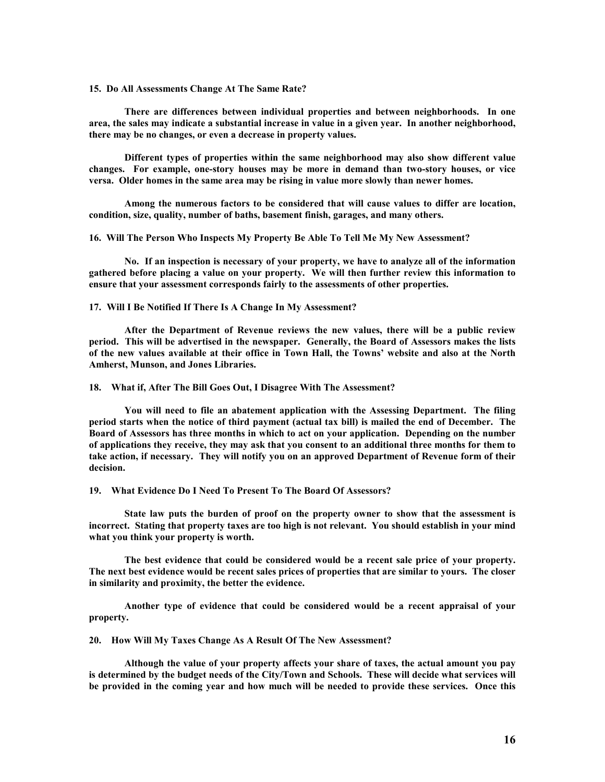**15. Do All Assessments Change At The Same Rate?** 

 **There are differences between individual properties and between neighborhoods. In one area, the sales may indicate a substantial increase in value in a given year. In another neighborhood, there may be no changes, or even a decrease in property values.** 

 **Different types of properties within the same neighborhood may also show different value changes. For example, one-story houses may be more in demand than two-story houses, or vice versa. Older homes in the same area may be rising in value more slowly than newer homes.** 

 **Among the numerous factors to be considered that will cause values to differ are location, condition, size, quality, number of baths, basement finish, garages, and many others.** 

**16. Will The Person Who Inspects My Property Be Able To Tell Me My New Assessment?** 

 **No. If an inspection is necessary of your property, we have to analyze all of the information gathered before placing a value on your property. We will then further review this information to ensure that your assessment corresponds fairly to the assessments of other properties.** 

**17. Will I Be Notified If There Is A Change In My Assessment?** 

**After the Department of Revenue reviews the new values, there will be a public review period. This will be advertised in the newspaper. Generally, the Board of Assessors makes the lists of the new values available at their office in Town Hall, the Towns' website and also at the North Amherst, Munson, and Jones Libraries.** 

**18. What if, After The Bill Goes Out, I Disagree With The Assessment?** 

**You will need to file an abatement application with the Assessing Department. The filing period starts when the notice of third payment (actual tax bill) is mailed the end of December. The Board of Assessors has three months in which to act on your application. Depending on the number of applications they receive, they may ask that you consent to an additional three months for them to take action, if necessary. They will notify you on an approved Department of Revenue form of their decision.** 

**19. What Evidence Do I Need To Present To The Board Of Assessors?** 

 **State law puts the burden of proof on the property owner to show that the assessment is incorrect. Stating that property taxes are too high is not relevant. You should establish in your mind what you think your property is worth.** 

 **The best evidence that could be considered would be a recent sale price of your property. The next best evidence would be recent sales prices of properties that are similar to yours. The closer in similarity and proximity, the better the evidence.** 

 **Another type of evidence that could be considered would be a recent appraisal of your property.** 

**20. How Will My Taxes Change As A Result Of The New Assessment?** 

 **Although the value of your property affects your share of taxes, the actual amount you pay is determined by the budget needs of the City/Town and Schools. These will decide what services will be provided in the coming year and how much will be needed to provide these services. Once this**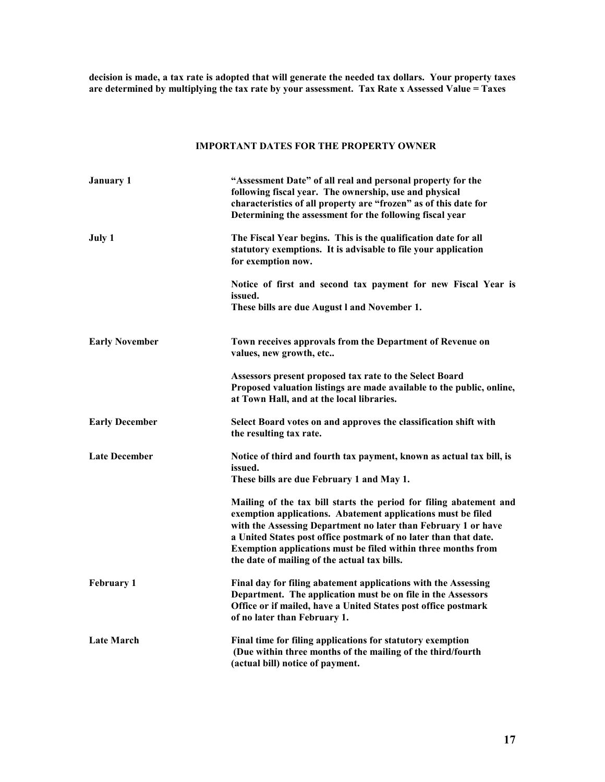**decision is made, a tax rate is adopted that will generate the needed tax dollars. Your property taxes are determined by multiplying the tax rate by your assessment. Tax Rate x Assessed Value = Taxes** 

## **IMPORTANT DATES FOR THE PROPERTY OWNER**

| <b>January 1</b>      | "Assessment Date" of all real and personal property for the<br>following fiscal year. The ownership, use and physical<br>characteristics of all property are "frozen" as of this date for<br>Determining the assessment for the following fiscal year                                                                                                                                     |
|-----------------------|-------------------------------------------------------------------------------------------------------------------------------------------------------------------------------------------------------------------------------------------------------------------------------------------------------------------------------------------------------------------------------------------|
| July 1                | The Fiscal Year begins. This is the qualification date for all<br>statutory exemptions. It is advisable to file your application<br>for exemption now.                                                                                                                                                                                                                                    |
|                       | Notice of first and second tax payment for new Fiscal Year is<br>issued.<br>These bills are due August I and November 1.                                                                                                                                                                                                                                                                  |
| <b>Early November</b> | Town receives approvals from the Department of Revenue on<br>values, new growth, etc                                                                                                                                                                                                                                                                                                      |
|                       | Assessors present proposed tax rate to the Select Board<br>Proposed valuation listings are made available to the public, online,<br>at Town Hall, and at the local libraries.                                                                                                                                                                                                             |
| <b>Early December</b> | Select Board votes on and approves the classification shift with<br>the resulting tax rate.                                                                                                                                                                                                                                                                                               |
| <b>Late December</b>  | Notice of third and fourth tax payment, known as actual tax bill, is<br>issued.<br>These bills are due February 1 and May 1.                                                                                                                                                                                                                                                              |
|                       | Mailing of the tax bill starts the period for filing abatement and<br>exemption applications. Abatement applications must be filed<br>with the Assessing Department no later than February 1 or have<br>a United States post office postmark of no later than that date.<br>Exemption applications must be filed within three months from<br>the date of mailing of the actual tax bills. |
| <b>February 1</b>     | Final day for filing abatement applications with the Assessing<br>Department. The application must be on file in the Assessors<br>Office or if mailed, have a United States post office postmark<br>of no later than February 1.                                                                                                                                                          |
| <b>Late March</b>     | Final time for filing applications for statutory exemption<br>(Due within three months of the mailing of the third/fourth<br>(actual bill) notice of payment.                                                                                                                                                                                                                             |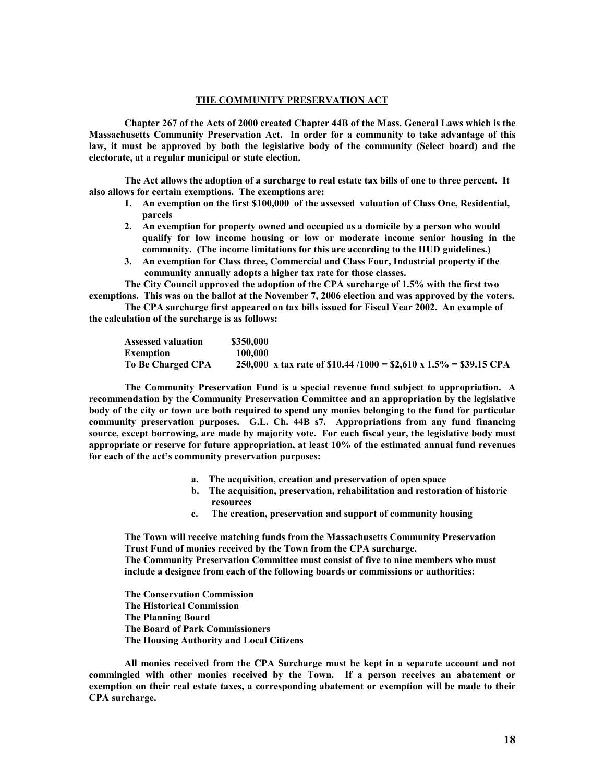#### **THE COMMUNITY PRESERVATION ACT**

 **Chapter 267 of the Acts of 2000 created Chapter 44B of the Mass. General Laws which is the Massachusetts Community Preservation Act. In order for a community to take advantage of this law, it must be approved by both the legislative body of the community (Select board) and the electorate, at a regular municipal or state election.** 

 **The Act allows the adoption of a surcharge to real estate tax bills of one to three percent. It also allows for certain exemptions. The exemptions are:** 

- **1. An exemption on the first \$100,000 of the assessed valuation of Class One, Residential, parcels**
- **2. An exemption for property owned and occupied as a domicile by a person who would qualify for low income housing or low or moderate income senior housing in the community. (The income limitations for this are according to the HUD guidelines.)**
- **3. An exemption for Class three, Commercial and Class Four, Industrial property if the community annually adopts a higher tax rate for those classes.**

 **The City Council approved the adoption of the CPA surcharge of 1.5% with the first two exemptions. This was on the ballot at the November 7, 2006 election and was approved by the voters.** 

 **The CPA surcharge first appeared on tax bills issued for Fiscal Year 2002. An example of the calculation of the surcharge is as follows:** 

| <b>Assessed valuation</b> | \$350,000                                                          |
|---------------------------|--------------------------------------------------------------------|
| Exemption                 | 100,000                                                            |
| To Be Charged CPA         | 250,000 x tax rate of \$10.44 /1000 = \$2,610 x 1.5% = \$39.15 CPA |

 **The Community Preservation Fund is a special revenue fund subject to appropriation. A recommendation by the Community Preservation Committee and an appropriation by the legislative body of the city or town are both required to spend any monies belonging to the fund for particular community preservation purposes. G.L. Ch. 44B s7. Appropriations from any fund financing source, except borrowing, are made by majority vote. For each fiscal year, the legislative body must appropriate or reserve for future appropriation, at least 10% of the estimated annual fund revenues for each of the act's community preservation purposes:** 

- **a. The acquisition, creation and preservation of open space**
- **b. The acquisition, preservation, rehabilitation and restoration of historic resources**
- **c. The creation, preservation and support of community housing**

**The Town will receive matching funds from the Massachusetts Community Preservation Trust Fund of monies received by the Town from the CPA surcharge. The Community Preservation Committee must consist of five to nine members who must** 

**include a designee from each of the following boards or commissions or authorities:** 

 **The Conservation Commission The Historical Commission The Planning Board The Board of Park Commissioners The Housing Authority and Local Citizens** 

 **All monies received from the CPA Surcharge must be kept in a separate account and not commingled with other monies received by the Town. If a person receives an abatement or exemption on their real estate taxes, a corresponding abatement or exemption will be made to their CPA surcharge.**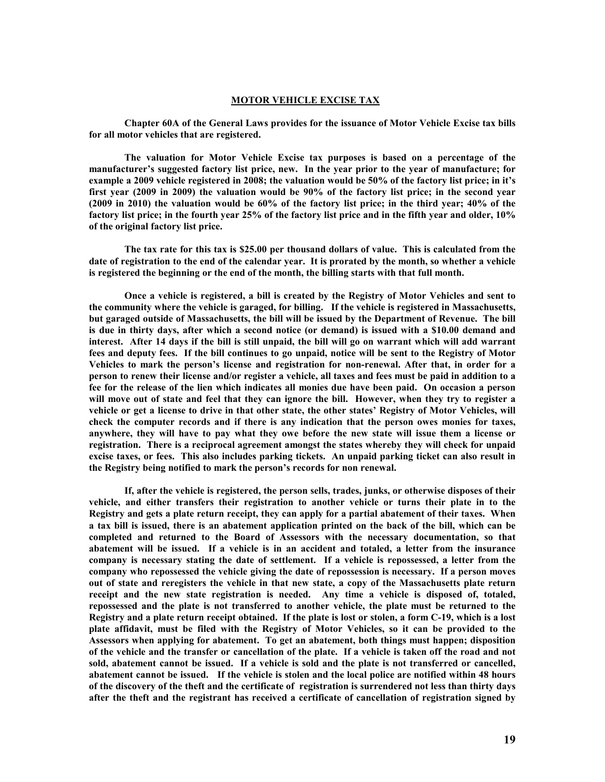#### **MOTOR VEHICLE EXCISE TAX**

**Chapter 60A of the General Laws provides for the issuance of Motor Vehicle Excise tax bills for all motor vehicles that are registered.** 

**The valuation for Motor Vehicle Excise tax purposes is based on a percentage of the manufacturer's suggested factory list price, new. In the year prior to the year of manufacture; for example a 2009 vehicle registered in 2008; the valuation would be 50% of the factory list price; in it's first year (2009 in 2009) the valuation would be 90% of the factory list price; in the second year (2009 in 2010) the valuation would be 60% of the factory list price; in the third year; 40% of the factory list price; in the fourth year 25% of the factory list price and in the fifth year and older, 10% of the original factory list price.** 

**The tax rate for this tax is \$25.00 per thousand dollars of value. This is calculated from the date of registration to the end of the calendar year. It is prorated by the month, so whether a vehicle is registered the beginning or the end of the month, the billing starts with that full month.** 

**Once a vehicle is registered, a bill is created by the Registry of Motor Vehicles and sent to the community where the vehicle is garaged, for billing. If the vehicle is registered in Massachusetts, but garaged outside of Massachusetts, the bill will be issued by the Department of Revenue. The bill is due in thirty days, after which a second notice (or demand) is issued with a \$10.00 demand and interest. After 14 days if the bill is still unpaid, the bill will go on warrant which will add warrant fees and deputy fees. If the bill continues to go unpaid, notice will be sent to the Registry of Motor Vehicles to mark the person's license and registration for non-renewal. After that, in order for a person to renew their license and/or register a vehicle, all taxes and fees must be paid in addition to a fee for the release of the lien which indicates all monies due have been paid. On occasion a person will move out of state and feel that they can ignore the bill. However, when they try to register a vehicle or get a license to drive in that other state, the other states' Registry of Motor Vehicles, will check the computer records and if there is any indication that the person owes monies for taxes, anywhere, they will have to pay what they owe before the new state will issue them a license or registration. There is a reciprocal agreement amongst the states whereby they will check for unpaid excise taxes, or fees. This also includes parking tickets. An unpaid parking ticket can also result in the Registry being notified to mark the person's records for non renewal.** 

**If, after the vehicle is registered, the person sells, trades, junks, or otherwise disposes of their vehicle, and either transfers their registration to another vehicle or turns their plate in to the Registry and gets a plate return receipt, they can apply for a partial abatement of their taxes. When a tax bill is issued, there is an abatement application printed on the back of the bill, which can be completed and returned to the Board of Assessors with the necessary documentation, so that abatement will be issued. If a vehicle is in an accident and totaled, a letter from the insurance company is necessary stating the date of settlement. If a vehicle is repossessed, a letter from the company who repossessed the vehicle giving the date of repossession is necessary. If a person moves out of state and reregisters the vehicle in that new state, a copy of the Massachusetts plate return receipt and the new state registration is needed. Any time a vehicle is disposed of, totaled, repossessed and the plate is not transferred to another vehicle, the plate must be returned to the Registry and a plate return receipt obtained. If the plate is lost or stolen, a form C-19, which is a lost plate affidavit, must be filed with the Registry of Motor Vehicles, so it can be provided to the Assessors when applying for abatement. To get an abatement, both things must happen; disposition of the vehicle and the transfer or cancellation of the plate. If a vehicle is taken off the road and not sold, abatement cannot be issued. If a vehicle is sold and the plate is not transferred or cancelled, abatement cannot be issued. If the vehicle is stolen and the local police are notified within 48 hours of the discovery of the theft and the certificate of registration is surrendered not less than thirty days after the theft and the registrant has received a certificate of cancellation of registration signed by**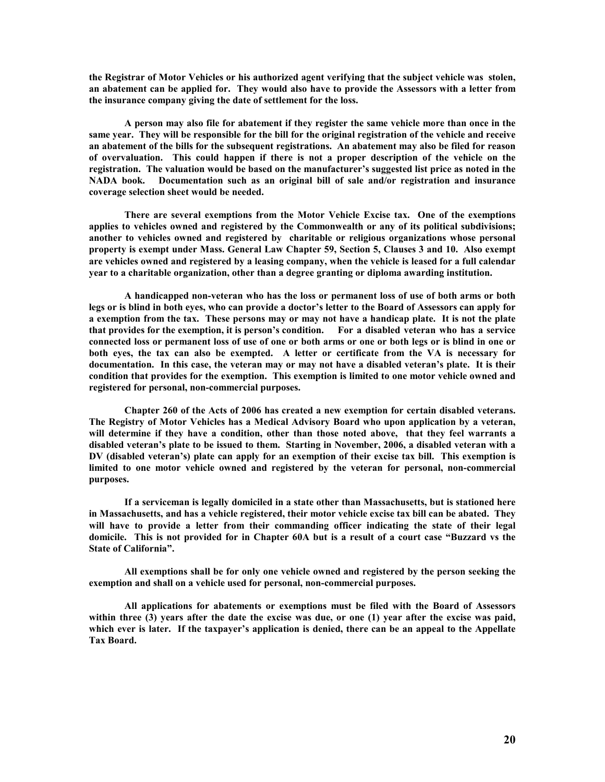**the Registrar of Motor Vehicles or his authorized agent verifying that the subject vehicle was stolen, an abatement can be applied for. They would also have to provide the Assessors with a letter from the insurance company giving the date of settlement for the loss.** 

**A person may also file for abatement if they register the same vehicle more than once in the same year. They will be responsible for the bill for the original registration of the vehicle and receive an abatement of the bills for the subsequent registrations. An abatement may also be filed for reason of overvaluation. This could happen if there is not a proper description of the vehicle on the registration. The valuation would be based on the manufacturer's suggested list price as noted in the NADA book. Documentation such as an original bill of sale and/or registration and insurance coverage selection sheet would be needed.** 

**There are several exemptions from the Motor Vehicle Excise tax. One of the exemptions applies to vehicles owned and registered by the Commonwealth or any of its political subdivisions; another to vehicles owned and registered by charitable or religious organizations whose personal property is exempt under Mass. General Law Chapter 59, Section 5, Clauses 3 and 10. Also exempt are vehicles owned and registered by a leasing company, when the vehicle is leased for a full calendar year to a charitable organization, other than a degree granting or diploma awarding institution.** 

**A handicapped non-veteran who has the loss or permanent loss of use of both arms or both legs or is blind in both eyes, who can provide a doctor's letter to the Board of Assessors can apply for a exemption from the tax. These persons may or may not have a handicap plate. It is not the plate that provides for the exemption, it is person's condition. For a disabled veteran who has a service connected loss or permanent loss of use of one or both arms or one or both legs or is blind in one or both eyes, the tax can also be exempted. A letter or certificate from the VA is necessary for documentation. In this case, the veteran may or may not have a disabled veteran's plate. It is their condition that provides for the exemption. This exemption is limited to one motor vehicle owned and registered for personal, non-commercial purposes.** 

**Chapter 260 of the Acts of 2006 has created a new exemption for certain disabled veterans. The Registry of Motor Vehicles has a Medical Advisory Board who upon application by a veteran, will determine if they have a condition, other than those noted above, that they feel warrants a disabled veteran's plate to be issued to them. Starting in November, 2006, a disabled veteran with a DV (disabled veteran's) plate can apply for an exemption of their excise tax bill. This exemption is limited to one motor vehicle owned and registered by the veteran for personal, non-commercial purposes.** 

**If a serviceman is legally domiciled in a state other than Massachusetts, but is stationed here in Massachusetts, and has a vehicle registered, their motor vehicle excise tax bill can be abated. They will have to provide a letter from their commanding officer indicating the state of their legal domicile. This is not provided for in Chapter 60A but is a result of a court case "Buzzard vs the State of California".** 

**All exemptions shall be for only one vehicle owned and registered by the person seeking the exemption and shall on a vehicle used for personal, non-commercial purposes.** 

**All applications for abatements or exemptions must be filed with the Board of Assessors within three (3) years after the date the excise was due, or one (1) year after the excise was paid, which ever is later. If the taxpayer's application is denied, there can be an appeal to the Appellate Tax Board.**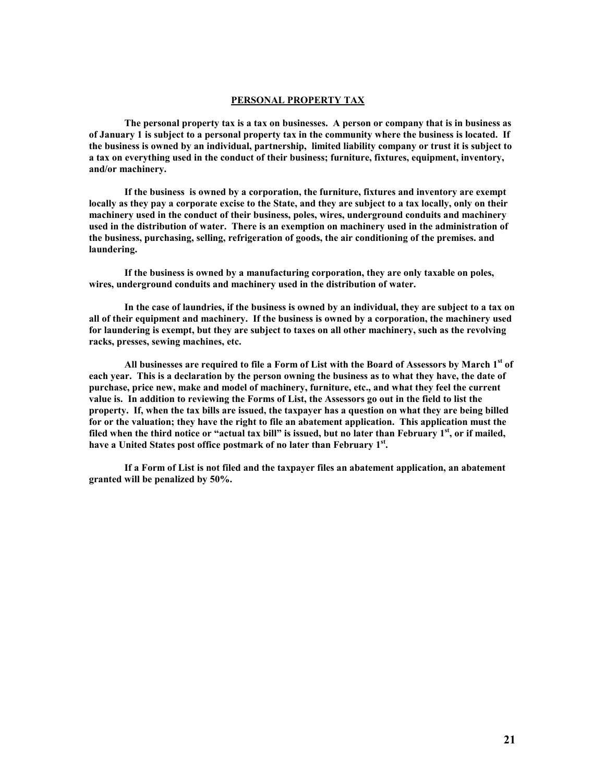#### **PERSONAL PROPERTY TAX**

**The personal property tax is a tax on businesses. A person or company that is in business as of January 1 is subject to a personal property tax in the community where the business is located. If the business is owned by an individual, partnership, limited liability company or trust it is subject to a tax on everything used in the conduct of their business; furniture, fixtures, equipment, inventory, and/or machinery.** 

**If the business is owned by a corporation, the furniture, fixtures and inventory are exempt locally as they pay a corporate excise to the State, and they are subject to a tax locally, only on their machinery used in the conduct of their business, poles, wires, underground conduits and machinery used in the distribution of water. There is an exemption on machinery used in the administration of the business, purchasing, selling, refrigeration of goods, the air conditioning of the premises. and laundering.** 

**If the business is owned by a manufacturing corporation, they are only taxable on poles, wires, underground conduits and machinery used in the distribution of water.** 

**In the case of laundries, if the business is owned by an individual, they are subject to a tax on all of their equipment and machinery. If the business is owned by a corporation, the machinery used for laundering is exempt, but they are subject to taxes on all other machinery, such as the revolving racks, presses, sewing machines, etc.** 

**All businesses are required to file a Form of List with the Board of Assessors by March 1st of each year. This is a declaration by the person owning the business as to what they have, the date of purchase, price new, make and model of machinery, furniture, etc., and what they feel the current value is. In addition to reviewing the Forms of List, the Assessors go out in the field to list the property. If, when the tax bills are issued, the taxpayer has a question on what they are being billed for or the valuation; they have the right to file an abatement application. This application must the filed when the third notice or "actual tax bill" is issued, but no later than February 1st, or if mailed, have a United States post office postmark of no later than February 1st .** 

**If a Form of List is not filed and the taxpayer files an abatement application, an abatement granted will be penalized by 50%.**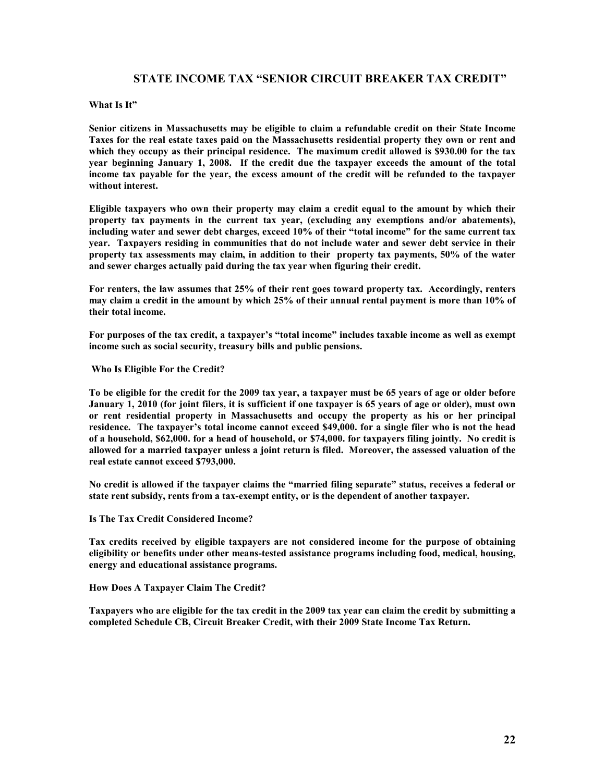## **STATE INCOME TAX "SENIOR CIRCUIT BREAKER TAX CREDIT"**

## **What Is It"**

**Senior citizens in Massachusetts may be eligible to claim a refundable credit on their State Income Taxes for the real estate taxes paid on the Massachusetts residential property they own or rent and which they occupy as their principal residence. The maximum credit allowed is \$930.00 for the tax year beginning January 1, 2008. If the credit due the taxpayer exceeds the amount of the total income tax payable for the year, the excess amount of the credit will be refunded to the taxpayer without interest.** 

**Eligible taxpayers who own their property may claim a credit equal to the amount by which their property tax payments in the current tax year, (excluding any exemptions and/or abatements), including water and sewer debt charges, exceed 10% of their "total income" for the same current tax year. Taxpayers residing in communities that do not include water and sewer debt service in their property tax assessments may claim, in addition to their property tax payments, 50% of the water and sewer charges actually paid during the tax year when figuring their credit.** 

**For renters, the law assumes that 25% of their rent goes toward property tax. Accordingly, renters may claim a credit in the amount by which 25% of their annual rental payment is more than 10% of their total income.** 

**For purposes of the tax credit, a taxpayer's "total income" includes taxable income as well as exempt income such as social security, treasury bills and public pensions.** 

 **Who Is Eligible For the Credit?** 

**To be eligible for the credit for the 2009 tax year, a taxpayer must be 65 years of age or older before January 1, 2010 (for joint filers, it is sufficient if one taxpayer is 65 years of age or older), must own or rent residential property in Massachusetts and occupy the property as his or her principal residence. The taxpayer's total income cannot exceed \$49,000. for a single filer who is not the head of a household, \$62,000. for a head of household, or \$74,000. for taxpayers filing jointly. No credit is allowed for a married taxpayer unless a joint return is filed. Moreover, the assessed valuation of the real estate cannot exceed \$793,000.** 

**No credit is allowed if the taxpayer claims the "married filing separate" status, receives a federal or state rent subsidy, rents from a tax-exempt entity, or is the dependent of another taxpayer.** 

**Is The Tax Credit Considered Income?** 

**Tax credits received by eligible taxpayers are not considered income for the purpose of obtaining eligibility or benefits under other means-tested assistance programs including food, medical, housing, energy and educational assistance programs.** 

**How Does A Taxpayer Claim The Credit?** 

**Taxpayers who are eligible for the tax credit in the 2009 tax year can claim the credit by submitting a completed Schedule CB, Circuit Breaker Credit, with their 2009 State Income Tax Return.**